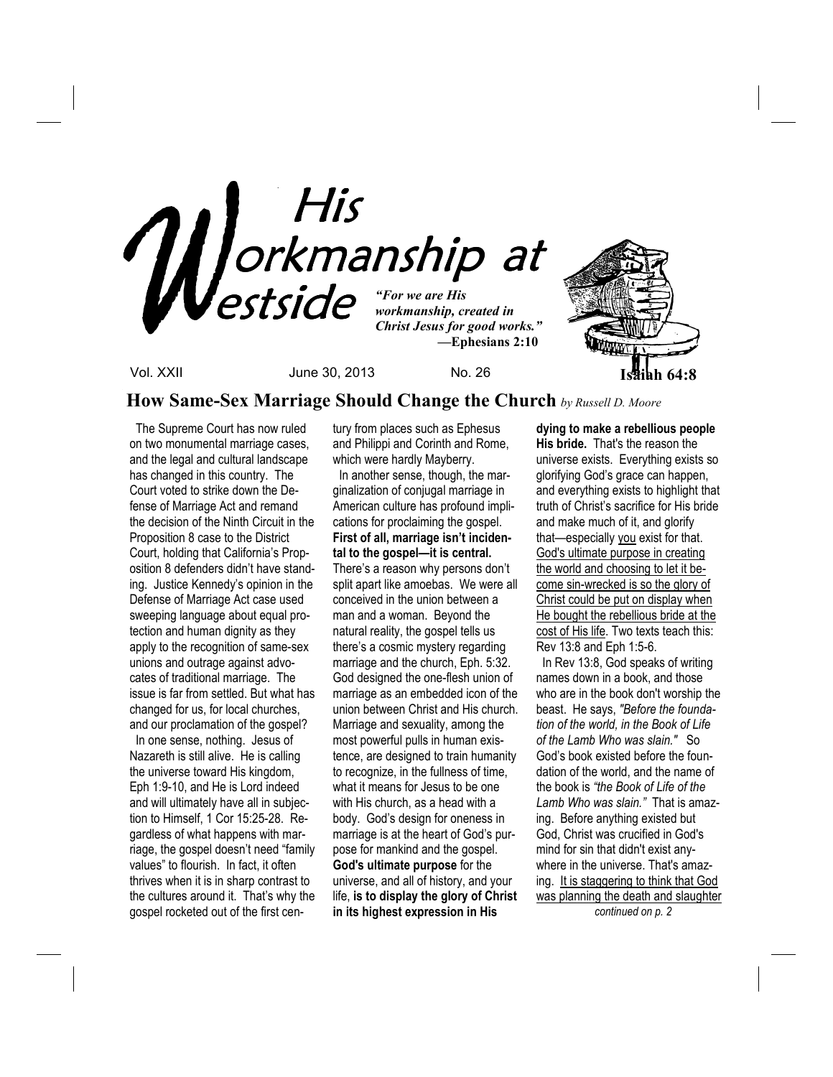

**How Same-Sex Marriage Should Change the Church** *by Russell D. Moore*

The Supreme Court has now ruled on two monumental marriage cases, and the legal and cultural landscape has changed in this country. The Court voted to strike down the Defense of Marriage Act and remand the decision of the Ninth Circuit in the Proposition 8 case to the District Court, holding that California's Proposition 8 defenders didn't have standing. Justice Kennedy's opinion in the Defense of Marriage Act case used sweeping language about equal protection and human dignity as they apply to the recognition of same-sex unions and outrage against advocates of traditional marriage. The issue is far from settled. But what has changed for us, for local churches, and our proclamation of the gospel?

 In one sense, nothing. Jesus of Nazareth is still alive. He is calling the universe toward His kingdom, Eph 1:9-10, and He is Lord indeed and will ultimately have all in subjection to Himself, 1 Cor 15:25-28. Regardless of what happens with marriage, the gospel doesn't need "family values" to flourish. In fact, it often thrives when it is in sharp contrast to the cultures around it. That's why the gospel rocketed out of the first century from places such as Ephesus and Philippi and Corinth and Rome, which were hardly Mayberry.

 In another sense, though, the marginalization of conjugal marriage in American culture has profound implications for proclaiming the gospel. **First of all, marriage isn't incidental to the gospel—it is central.**  There's a reason why persons don't split apart like amoebas. We were all conceived in the union between a man and a woman. Beyond the natural reality, the gospel tells us there's a cosmic mystery regarding marriage and the church, Eph. 5:32. God designed the one-flesh union of marriage as an embedded icon of the union between Christ and His church. Marriage and sexuality, among the most powerful pulls in human existence, are designed to train humanity to recognize, in the fullness of time, what it means for Jesus to be one with His church, as a head with a body. God's design for oneness in marriage is at the heart of God's purpose for mankind and the gospel. **God's ultimate purpose** for the universe, and all of history, and your life, **is to display the glory of Christ in its highest expression in His** 

**dying to make a rebellious people His bride.** That's the reason the universe exists. Everything exists so glorifying God's grace can happen, and everything exists to highlight that truth of Christ's sacrifice for His bride and make much of it, and glorify that—especially you exist for that. God's ultimate purpose in creating the world and choosing to let it become sin-wrecked is so the glory of Christ could be put on display when He bought the rebellious bride at the cost of His life. Two texts teach this: Rev 13:8 and Eph 1:5-6. In Rev 13:8, God speaks of writing names down in a book, and those who are in the book don't worship the

beast. He says, *"Before the foundation of the world, in the Book of Life of the Lamb Who was slain."* So God's book existed before the foundation of the world, and the name of the book is *"the Book of Life of the Lamb Who was slain."* That is amazing. Before anything existed but God, Christ was crucified in God's mind for sin that didn't exist anywhere in the universe. That's amazing. It is staggering to think that God was planning the death and slaughter

 *continued on p. 2*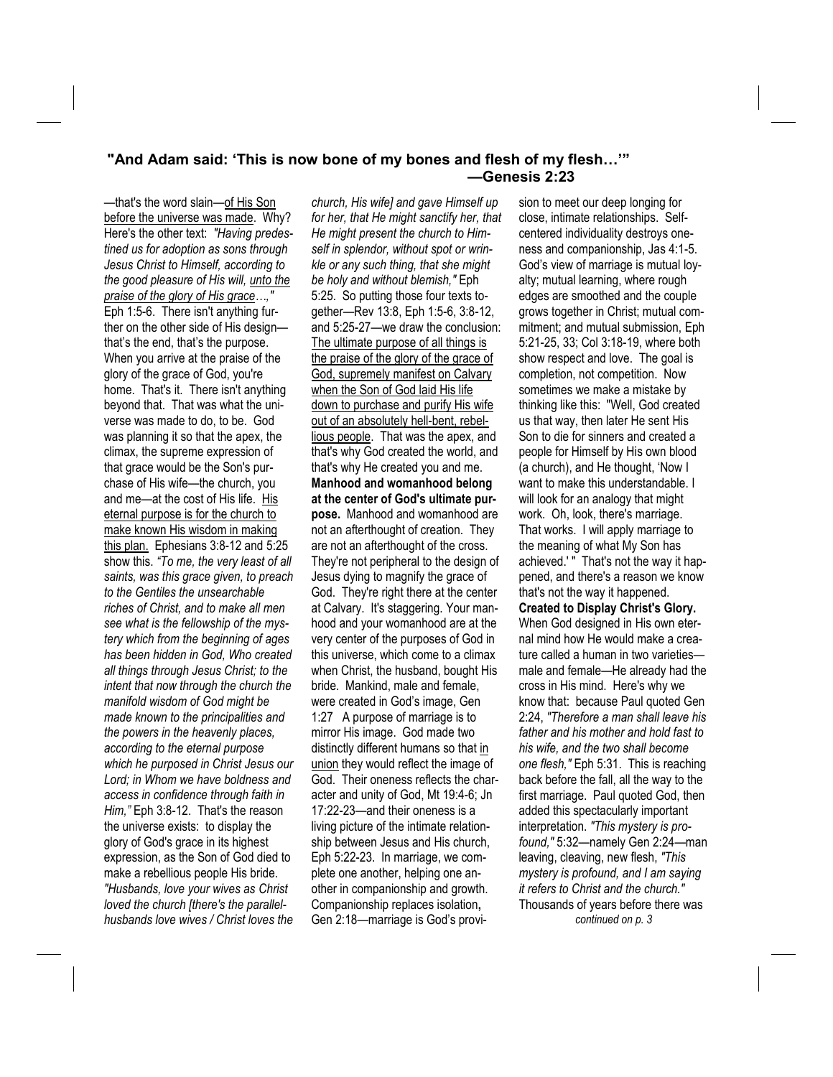## **"And Adam said: 'This is now bone of my bones and flesh of my flesh…'" —Genesis 2:23**

—that's the word slain—of His Son before the universe was made.Why? Here's the other text: *"Having predestined us for adoption as sons through Jesus Christ to Himself, according to the good pleasure of His will, unto the praise of the glory of His grace…,"* Eph 1:5-6. There isn't anything further on the other side of His design that's the end, that's the purpose. When you arrive at the praise of the glory of the grace of God, you're home. That's it. There isn't anything beyond that. That was what the universe was made to do, to be. God was planning it so that the apex, the climax, the supreme expression of that grace would be the Son's purchase of His wife—the church, you and me—at the cost of His life. His eternal purpose is for the church to make known His wisdom in making this plan. Ephesians 3:8-12 and 5:25 show this. *"To me, the very least of all saints, was this grace given, to preach to the Gentiles the unsearchable riches of Christ, and to make all men see what is the fellowship of the mystery which from the beginning of ages has been hidden in God, Who created all things through Jesus Christ; to the intent that now through the church the manifold wisdom of God might be made known to the principalities and the powers in the heavenly places, according to the eternal purpose which he purposed in Christ Jesus our Lord; in Whom we have boldness and access in confidence through faith in Him,"* Eph 3:8-12. That's the reason the universe exists: to display the glory of God's grace in its highest expression, as the Son of God died to make a rebellious people His bride. *"Husbands, love your wives as Christ loved the church [there's the parallelhusbands love wives / Christ loves the* 

*church, His wife] and gave Himself up for her, that He might sanctify her, that He might present the church to Himself in splendor, without spot or wrinkle or any such thing, that she might be holy and without blemish,"* Eph 5:25. So putting those four texts together—Rev 13:8, Eph 1:5-6, 3:8-12, and 5:25-27—we draw the conclusion: The ultimate purpose of all things is the praise of the glory of the grace of God, supremely manifest on Calvary when the Son of God laid His life down to purchase and purify His wife out of an absolutely hell-bent, rebellious people. That was the apex, and that's why God created the world, and that's why He created you and me. **Manhood and womanhood belong at the center of God's ultimate purpose.** Manhood and womanhood are not an afterthought of creation. They are not an afterthought of the cross. They're not peripheral to the design of Jesus dying to magnify the grace of God. They're right there at the center at Calvary. It's staggering. Your manhood and your womanhood are at the very center of the purposes of God in this universe, which come to a climax when Christ, the husband, bought His bride. Mankind, male and female, were created in God's image, Gen 1:27 A purpose of marriage is to mirror His image. God made two distinctly different humans so that in union they would reflect the image of God. Their oneness reflects the character and unity of God, Mt 19:4-6; Jn 17:22-23—and their oneness is a living picture of the intimate relationship between Jesus and His church, Eph 5:22-23. In marriage, we complete one another, helping one another in companionship and growth. Companionship replaces isolation**,**  Gen 2:18—marriage is God's provision to meet our deep longing for close, intimate relationships. Selfcentered individuality destroys oneness and companionship, Jas 4:1-5. God's view of marriage is mutual loyalty; mutual learning, where rough edges are smoothed and the couple grows together in Christ; mutual commitment; and mutual submission, Eph 5:21-25, 33; Col 3:18-19, where both show respect and love. The goal is completion, not competition. Now sometimes we make a mistake by thinking like this: "Well, God created us that way, then later He sent His Son to die for sinners and created a people for Himself by His own blood (a church), and He thought, 'Now I want to make this understandable. I will look for an analogy that might work. Oh, look, there's marriage. That works. I will apply marriage to the meaning of what My Son has achieved.' " That's not the way it happened, and there's a reason we know that's not the way it happened. **Created to Display Christ's Glory.**  When God designed in His own eternal mind how He would make a creature called a human in two varieties male and female—He already had the cross in His mind. Here's why we know that: because Paul quoted Gen 2:24, *"Therefore a man shall leave his father and his mother and hold fast to his wife, and the two shall become one flesh,"* Eph 5:31. This is reaching back before the fall, all the way to the first marriage. Paul quoted God, then added this spectacularly important interpretation. *"This mystery is profound,"* 5:32—namely Gen 2:24—man leaving, cleaving, new flesh, *"This mystery is profound, and I am saying it refers to Christ and the church."*  Thousands of years before there was

*continued on p. 3*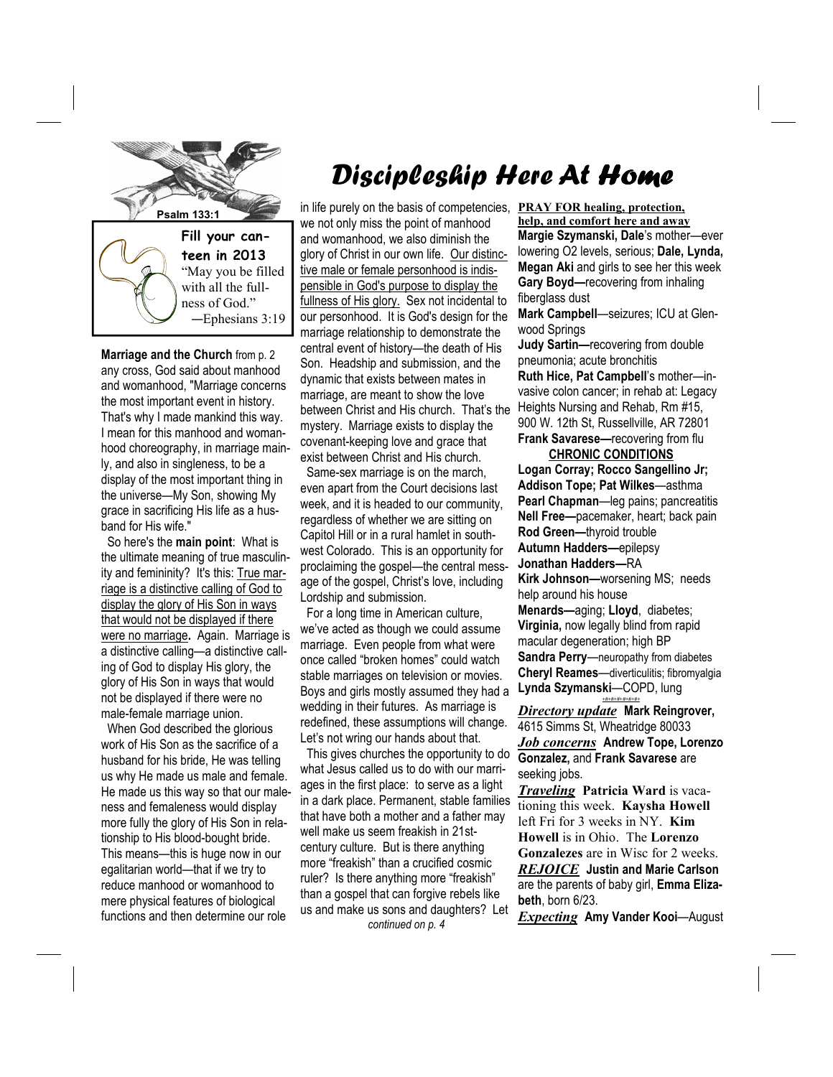

**Marriage and the Church** from p. 2 any cross, God said about manhood and womanhood, "Marriage concerns the most important event in history. That's why I made mankind this way. I mean for this manhood and womanhood choreography, in marriage mainly, and also in singleness, to be a display of the most important thing in the universe—My Son, showing My grace in sacrificing His life as a husband for His wife."

 So here's the **main point**: What is the ultimate meaning of true masculinity and femininity? It's this: True marriage is a distinctive calling of God to display the glory of His Son in ways that would not be displayed if there were no marriage**.** Again. Marriage is a distinctive calling—a distinctive calling of God to display His glory, the glory of His Son in ways that would not be displayed if there were no male-female marriage union.

 When God described the glorious work of His Son as the sacrifice of a husband for his bride, He was telling us why He made us male and female. He made us this way so that our maleness and femaleness would display more fully the glory of His Son in relationship to His blood-bought bride. This means—this is huge now in our egalitarian world—that if we try to reduce manhood or womanhood to mere physical features of biological functions and then determine our role

## Discipleship Here At Home

**Psalm 133:1 in life purely on the basis of competencies,** we not only miss the point of manhood and womanhood, we also diminish the glory of Christ in our own life. Our distinctive male or female personhood is indispensible in God's purpose to display the fullness of His glory. Sex not incidental to our personhood. It is God's design for the marriage relationship to demonstrate the central event of history—the death of His Son. Headship and submission, and the dynamic that exists between mates in marriage, are meant to show the love between Christ and His church. That's the mystery. Marriage exists to display the covenant-keeping love and grace that exist between Christ and His church.

> Same-sex marriage is on the march, even apart from the Court decisions last week, and it is headed to our community, regardless of whether we are sitting on Capitol Hill or in a rural hamlet in southwest Colorado. This is an opportunity for proclaiming the gospel—the central message of the gospel, Christ's love, including Lordship and submission.

> For a long time in American culture, we've acted as though we could assume marriage. Even people from what were once called "broken homes" could watch stable marriages on television or movies. Boys and girls mostly assumed they had a wedding in their futures. As marriage is redefined, these assumptions will change. Let's not wring our hands about that.

> This gives churches the opportunity to do what Jesus called us to do with our marriages in the first place: to serve as a light in a dark place. Permanent, stable families that have both a mother and a father may well make us seem freakish in 21stcentury culture. But is there anything more "freakish" than a crucified cosmic ruler? Is there anything more "freakish" than a gospel that can forgive rebels like us and make us sons and daughters? Let *continued on p. 4*

**PRAY FOR healing, protection, help, and comfort here and away Margie Szymanski, Dale**'s mother—ever lowering O2 levels, serious; **Dale, Lynda, Megan Aki** and girls to see her this week **Gary Boyd—**recovering from inhaling fiberglass dust

**Mark Campbell**—seizures; ICU at Glenwood Springs

**Judy Sartin—**recovering from double pneumonia; acute bronchitis

**Ruth Hice, Pat Campbell**'s mother—invasive colon cancer; in rehab at: Legacy Heights Nursing and Rehab, Rm #15, 900 W. 12th St, Russellville, AR 72801 **Frank Savarese—**recovering from flu

 **CHRONIC CONDITIONS**

**Logan Corray; Rocco Sangellino Jr; Addison Tope; Pat Wilkes**—asthma **Pearl Chapman**—leg pains; pancreatitis **Nell Free—**pacemaker, heart; back pain **Rod Green—**thyroid trouble **Autumn Hadders—**epilepsy **Jonathan Hadders—**RA **Kirk Johnson—**worsening MS; needs help around his house **Menards—**aging; **Lloyd**, diabetes; **Virginia,** now legally blind from rapid macular degeneration; high BP **Sandra Perry**—neuropathy from diabetes **Cheryl Reames**—diverticulitis; fibromyalgia **Lynda Szymanski**—COPD, lung

*Directory update* **Mark Reingrover,**  4615 Simms St, Wheatridge 80033 *Job concerns* **Andrew Tope, Lorenzo Gonzalez,** and **Frank Savarese** are seeking jobs.

*+#+#+#+#+#+#+*

*Traveling* **Patricia Ward** is vacationing this week. **Kaysha Howell** left Fri for 3 weeks in NY. **Kim Howell** is in Ohio. The **Lorenzo Gonzalezes** are in Wisc for 2 weeks. *REJOICE* **Justin and Marie Carlson** are the parents of baby girl, **Emma Elizabeth**, born 6/23.

*Expecting* **Amy Vander Kooi**—August